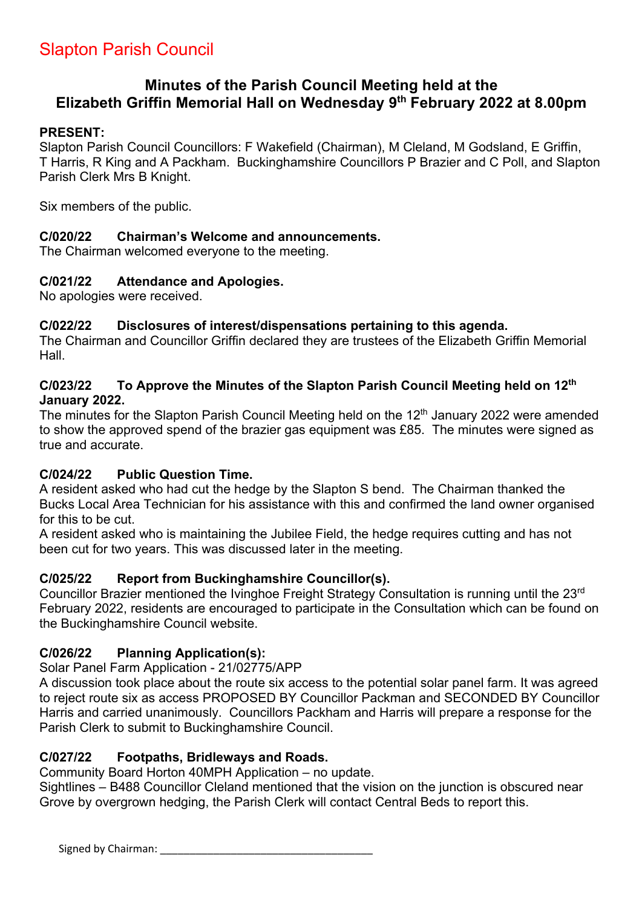# **Minutes of the Parish Council Meeting held at the Elizabeth Griffin Memorial Hall on Wednesday 9th February 2022 at 8.00pm**

### **PRESENT:**

Slapton Parish Council Councillors: F Wakefield (Chairman), M Cleland, M Godsland, E Griffin, T Harris, R King and A Packham. Buckinghamshire Councillors P Brazier and C Poll, and Slapton Parish Clerk Mrs B Knight.

Six members of the public.

### **C/020/22 Chairman's Welcome and announcements.**

The Chairman welcomed everyone to the meeting.

### **C/021/22 Attendance and Apologies.**

No apologies were received.

### **C/022/22 Disclosures of interest/dispensations pertaining to this agenda.**

The Chairman and Councillor Griffin declared they are trustees of the Elizabeth Griffin Memorial Hall.

#### **C/023/22 To Approve the Minutes of the Slapton Parish Council Meeting held on 12th January 2022.**

The minutes for the Slapton Parish Council Meeting held on the 12<sup>th</sup> January 2022 were amended to show the approved spend of the brazier gas equipment was £85. The minutes were signed as true and accurate.

### **C/024/22 Public Question Time.**

A resident asked who had cut the hedge by the Slapton S bend. The Chairman thanked the Bucks Local Area Technician for his assistance with this and confirmed the land owner organised for this to be cut.

A resident asked who is maintaining the Jubilee Field, the hedge requires cutting and has not been cut for two years. This was discussed later in the meeting.

### **C/025/22 Report from Buckinghamshire Councillor(s).**

Councillor Brazier mentioned the Ivinghoe Freight Strategy Consultation is running until the 23rd February 2022, residents are encouraged to participate in the Consultation which can be found on the Buckinghamshire Council website.

### **C/026/22 Planning Application(s):**

Solar Panel Farm Application - 21/02775/APP

A discussion took place about the route six access to the potential solar panel farm. It was agreed to reject route six as access PROPOSED BY Councillor Packman and SECONDED BY Councillor Harris and carried unanimously. Councillors Packham and Harris will prepare a response for the Parish Clerk to submit to Buckinghamshire Council.

### **C/027/22 Footpaths, Bridleways and Roads.**

Community Board Horton 40MPH Application – no update.

Sightlines – B488 Councillor Cleland mentioned that the vision on the junction is obscured near Grove by overgrown hedging, the Parish Clerk will contact Central Beds to report this.

Signed by Chairman: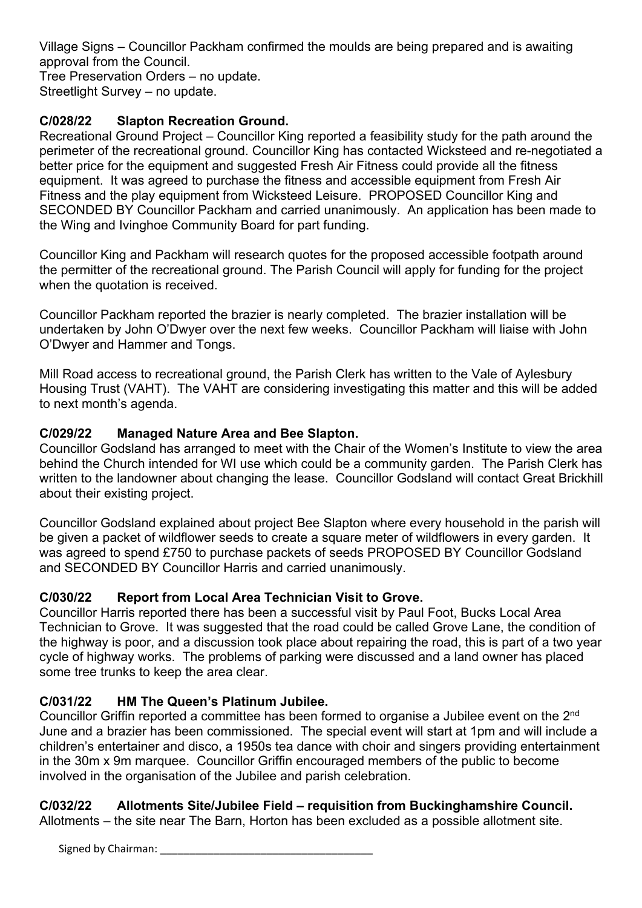Village Signs – Councillor Packham confirmed the moulds are being prepared and is awaiting approval from the Council.

Tree Preservation Orders – no update. Streetlight Survey – no update.

# **C/028/22 Slapton Recreation Ground.**

Recreational Ground Project – Councillor King reported a feasibility study for the path around the perimeter of the recreational ground. Councillor King has contacted Wicksteed and re-negotiated a better price for the equipment and suggested Fresh Air Fitness could provide all the fitness equipment. It was agreed to purchase the fitness and accessible equipment from Fresh Air Fitness and the play equipment from Wicksteed Leisure. PROPOSED Councillor King and SECONDED BY Councillor Packham and carried unanimously. An application has been made to the Wing and Ivinghoe Community Board for part funding.

Councillor King and Packham will research quotes for the proposed accessible footpath around the permitter of the recreational ground. The Parish Council will apply for funding for the project when the quotation is received.

Councillor Packham reported the brazier is nearly completed. The brazier installation will be undertaken by John O'Dwyer over the next few weeks. Councillor Packham will liaise with John O'Dwyer and Hammer and Tongs.

Mill Road access to recreational ground, the Parish Clerk has written to the Vale of Aylesbury Housing Trust (VAHT). The VAHT are considering investigating this matter and this will be added to next month's agenda.

### **C/029/22 Managed Nature Area and Bee Slapton.**

Councillor Godsland has arranged to meet with the Chair of the Women's Institute to view the area behind the Church intended for WI use which could be a community garden. The Parish Clerk has written to the landowner about changing the lease. Councillor Godsland will contact Great Brickhill about their existing project.

Councillor Godsland explained about project Bee Slapton where every household in the parish will be given a packet of wildflower seeds to create a square meter of wildflowers in every garden. It was agreed to spend £750 to purchase packets of seeds PROPOSED BY Councillor Godsland and SECONDED BY Councillor Harris and carried unanimously.

# **C/030/22 Report from Local Area Technician Visit to Grove.**

Councillor Harris reported there has been a successful visit by Paul Foot, Bucks Local Area Technician to Grove. It was suggested that the road could be called Grove Lane, the condition of the highway is poor, and a discussion took place about repairing the road, this is part of a two year cycle of highway works. The problems of parking were discussed and a land owner has placed some tree trunks to keep the area clear.

### **C/031/22 HM The Queen's Platinum Jubilee.**

Councillor Griffin reported a committee has been formed to organise a Jubilee event on the 2nd June and a brazier has been commissioned. The special event will start at 1pm and will include a children's entertainer and disco, a 1950s tea dance with choir and singers providing entertainment in the 30m x 9m marquee. Councillor Griffin encouraged members of the public to become involved in the organisation of the Jubilee and parish celebration.

### **C/032/22 Allotments Site/Jubilee Field – requisition from Buckinghamshire Council.**

Allotments – the site near The Barn, Horton has been excluded as a possible allotment site.

Signed by Chairman: \_\_\_\_\_\_\_\_\_\_\_\_\_\_\_\_\_\_\_\_\_\_\_\_\_\_\_\_\_\_\_\_\_\_\_\_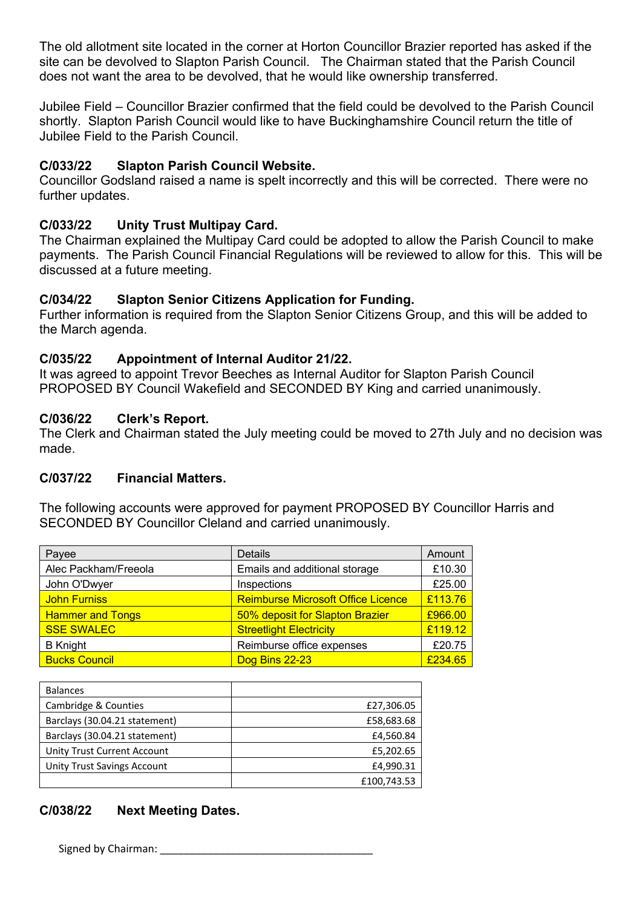The old allotment site located in the corner at Horton Councillor Brazier reported has asked if the site can be devolved to Slapton Parish Council. The Chairman stated that the Parish Council does not want the area to be devolved, that he would like ownership transferred.

Jubilee Field – Councillor Brazier confirmed that the field could be devolved to the Parish Council shortly. Slapton Parish Council would like to have Buckinghamshire Council return the title of Jubilee Field to the Parish Council.

### **C/033/22 Slapton Parish Council Website.**

Councillor Godsland raised a name is spelt incorrectly and this will be corrected. There were no further updates.

### **C/033/22 Unity Trust Multipay Card.**

The Chairman explained the Multipay Card could be adopted to allow the Parish Council to make payments. The Parish Council Financial Regulations will be reviewed to allow for this. This will be discussed at a future meeting.

### **C/034/22 Slapton Senior Citizens Application for Funding.**

Further information is required from the Slapton Senior Citizens Group, and this will be added to the March agenda.

### **C/035/22 Appointment of Internal Auditor 21/22.**

It was agreed to appoint Trevor Beeches as Internal Auditor for Slapton Parish Council PROPOSED BY Council Wakefield and SECONDED BY King and carried unanimously.

### **C/036/22 Clerk's Report.**

The Clerk and Chairman stated the July meeting could be moved to 27th July and no decision was made.

#### **C/037/22 Financial Matters.**

The following accounts were approved for payment PROPOSED BY Councillor Harris and SECONDED BY Councillor Cleland and carried unanimously.

| Payee                   | Details                                   | Amount  |
|-------------------------|-------------------------------------------|---------|
| Alec Packham/Freeola    | Emails and additional storage             | £10.30  |
| John O'Dwyer            | Inspections                               | £25.00  |
| <b>John Furniss</b>     | <b>Reimburse Microsoft Office Licence</b> | £113.76 |
| <b>Hammer and Tongs</b> | 50% deposit for Slapton Brazier           | £966.00 |
| <b>SSE SWALEC</b>       | <b>Streetlight Electricity</b>            | £119.12 |
| <b>B</b> Knight         | Reimburse office expenses                 | £20.75  |
| <b>Bucks Council</b>    | Dog Bins 22-23                            | £234.65 |

| <b>Balances</b>               |             |
|-------------------------------|-------------|
| Cambridge & Counties          | £27,306.05  |
| Barclays (30.04.21 statement) | £58,683.68  |
| Barclays (30.04.21 statement) | £4,560.84   |
| Unity Trust Current Account   | £5,202.65   |
| Unity Trust Savings Account   | £4,990.31   |
|                               | £100,743.53 |

# **C/038/22 Next Meeting Dates.**

Signed by Chairman: